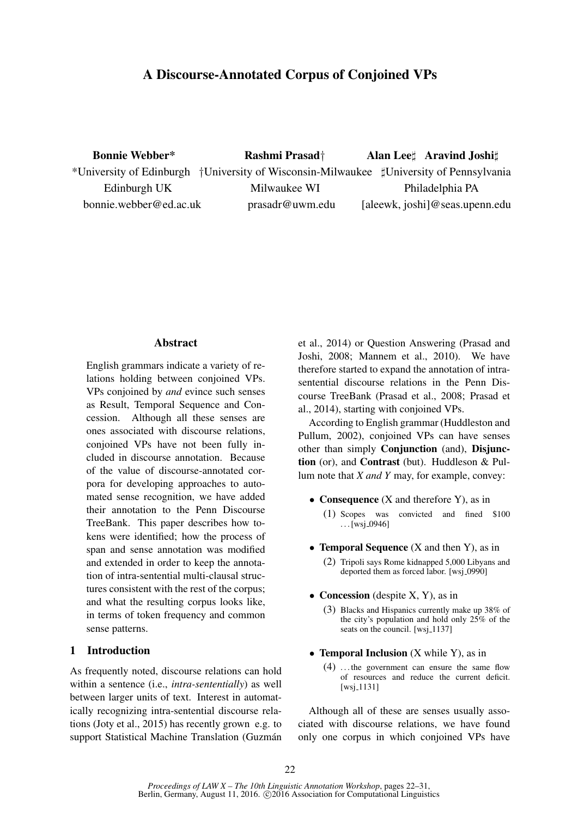## A Discourse-Annotated Corpus of Conjoined VPs

Bonnie Webber\* Rashmi Prasad† Alan Lee‡ Aravind Joshi‡ \*University of Edinburgh †University of Wisconsin-Milwaukee ]University of Pennsylvania Edinburgh UK Milwaukee WI Philadelphia PA bonnie.webber@ed.ac.uk prasadr@uwm.edu [aleewk, joshi]@seas.upenn.edu

### Abstract

English grammars indicate a variety of relations holding between conjoined VPs. VPs conjoined by *and* evince such senses as Result, Temporal Sequence and Concession. Although all these senses are ones associated with discourse relations, conjoined VPs have not been fully included in discourse annotation. Because of the value of discourse-annotated corpora for developing approaches to automated sense recognition, we have added their annotation to the Penn Discourse TreeBank. This paper describes how tokens were identified; how the process of span and sense annotation was modified and extended in order to keep the annotation of intra-sentential multi-clausal structures consistent with the rest of the corpus; and what the resulting corpus looks like, in terms of token frequency and common sense patterns.

## 1 Introduction

As frequently noted, discourse relations can hold within a sentence (i.e., *intra-sententially*) as well between larger units of text. Interest in automatically recognizing intra-sentential discourse relations (Joty et al., 2015) has recently grown e.g. to support Statistical Machine Translation (Guzmán et al., 2014) or Question Answering (Prasad and Joshi, 2008; Mannem et al., 2010). We have therefore started to expand the annotation of intrasentential discourse relations in the Penn Discourse TreeBank (Prasad et al., 2008; Prasad et al., 2014), starting with conjoined VPs.

According to English grammar (Huddleston and Pullum, 2002), conjoined VPs can have senses other than simply Conjunction (and), Disjunction (or), and Contrast (but). Huddleson & Pullum note that *X and Y* may, for example, convey:

- Consequence (X and therefore Y), as in (1) Scopes was convicted and fined \$100  $\ldots$ [wsj\_0946]
- **Temporal Sequence** (X and then Y), as in
	- (2) Tripoli says Rome kidnapped 5,000 Libyans and deported them as forced labor. [wsj<sub>-0990]</sub>
- Concession (despite  $X$ ,  $Y$ ), as in
	- (3) Blacks and Hispanics currently make up 38% of the city's population and hold only 25% of the seats on the council. [wsj\_1137]
- Temporal Inclusion (X while Y), as in
	- (4) . . . the government can ensure the same flow of resources and reduce the current deficit.  $[ws]$ <sub>-1131</sub>]

Although all of these are senses usually associated with discourse relations, we have found only one corpus in which conjoined VPs have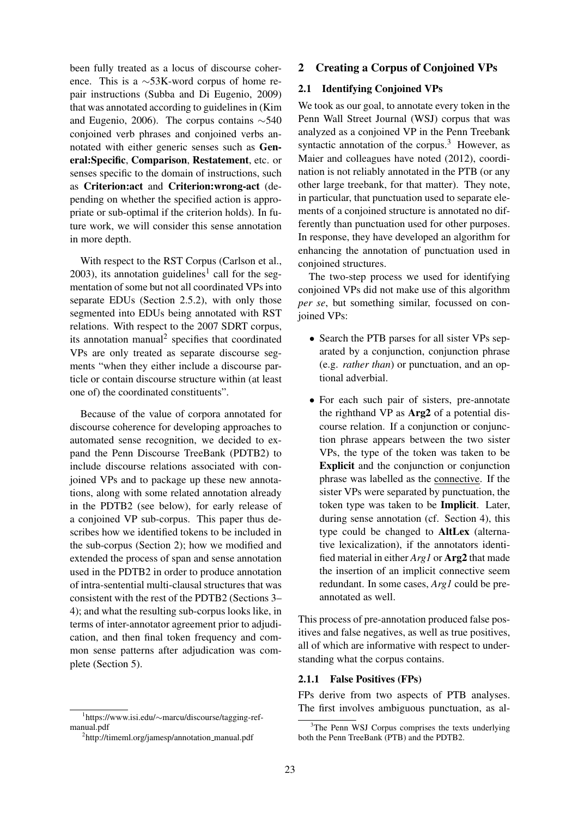been fully treated as a locus of discourse coherence. This is a ∼53K-word corpus of home repair instructions (Subba and Di Eugenio, 2009) that was annotated according to guidelines in (Kim and Eugenio, 2006). The corpus contains ∼540 conjoined verb phrases and conjoined verbs annotated with either generic senses such as General:Specific, Comparison, Restatement, etc. or senses specific to the domain of instructions, such as Criterion:act and Criterion:wrong-act (depending on whether the specified action is appropriate or sub-optimal if the criterion holds). In future work, we will consider this sense annotation in more depth.

With respect to the RST Corpus (Carlson et al.,  $2003$ ), its annotation guidelines<sup>1</sup> call for the segmentation of some but not all coordinated VPs into separate EDUs (Section 2.5.2), with only those segmented into EDUs being annotated with RST relations. With respect to the 2007 SDRT corpus, its annotation manual<sup>2</sup> specifies that coordinated VPs are only treated as separate discourse segments "when they either include a discourse particle or contain discourse structure within (at least one of) the coordinated constituents".

Because of the value of corpora annotated for discourse coherence for developing approaches to automated sense recognition, we decided to expand the Penn Discourse TreeBank (PDTB2) to include discourse relations associated with conjoined VPs and to package up these new annotations, along with some related annotation already in the PDTB2 (see below), for early release of a conjoined VP sub-corpus. This paper thus describes how we identified tokens to be included in the sub-corpus (Section 2); how we modified and extended the process of span and sense annotation used in the PDTB2 in order to produce annotation of intra-sentential multi-clausal structures that was consistent with the rest of the PDTB2 (Sections 3– 4); and what the resulting sub-corpus looks like, in terms of inter-annotator agreement prior to adjudication, and then final token frequency and common sense patterns after adjudication was complete (Section 5).

### 2 Creating a Corpus of Conjoined VPs

## 2.1 Identifying Conjoined VPs

We took as our goal, to annotate every token in the Penn Wall Street Journal (WSJ) corpus that was analyzed as a conjoined VP in the Penn Treebank syntactic annotation of the corpus. $3$  However, as Maier and colleagues have noted (2012), coordination is not reliably annotated in the PTB (or any other large treebank, for that matter). They note, in particular, that punctuation used to separate elements of a conjoined structure is annotated no differently than punctuation used for other purposes. In response, they have developed an algorithm for enhancing the annotation of punctuation used in conjoined structures.

The two-step process we used for identifying conjoined VPs did not make use of this algorithm *per se*, but something similar, focussed on conjoined VPs:

- Search the PTB parses for all sister VPs separated by a conjunction, conjunction phrase (e.g. *rather than*) or punctuation, and an optional adverbial.
- For each such pair of sisters, pre-annotate the righthand VP as Arg2 of a potential discourse relation. If a conjunction or conjunction phrase appears between the two sister VPs, the type of the token was taken to be Explicit and the conjunction or conjunction phrase was labelled as the connective. If the sister VPs were separated by punctuation, the token type was taken to be Implicit. Later, during sense annotation (cf. Section 4), this type could be changed to AltLex (alternative lexicalization), if the annotators identified material in either *Arg1* or Arg2 that made the insertion of an implicit connective seem redundant. In some cases, *Arg1* could be preannotated as well.

This process of pre-annotation produced false positives and false negatives, as well as true positives, all of which are informative with respect to understanding what the corpus contains.

#### 2.1.1 False Positives (FPs)

FPs derive from two aspects of PTB analyses. The first involves ambiguous punctuation, as al-

<sup>1</sup> https://www.isi.edu/∼marcu/discourse/tagging-refmanual.pdf

<sup>&</sup>lt;sup>2</sup>http://timeml.org/jamesp/annotation\_manual.pdf

 $3$ The Penn WSJ Corpus comprises the texts underlying both the Penn TreeBank (PTB) and the PDTB2.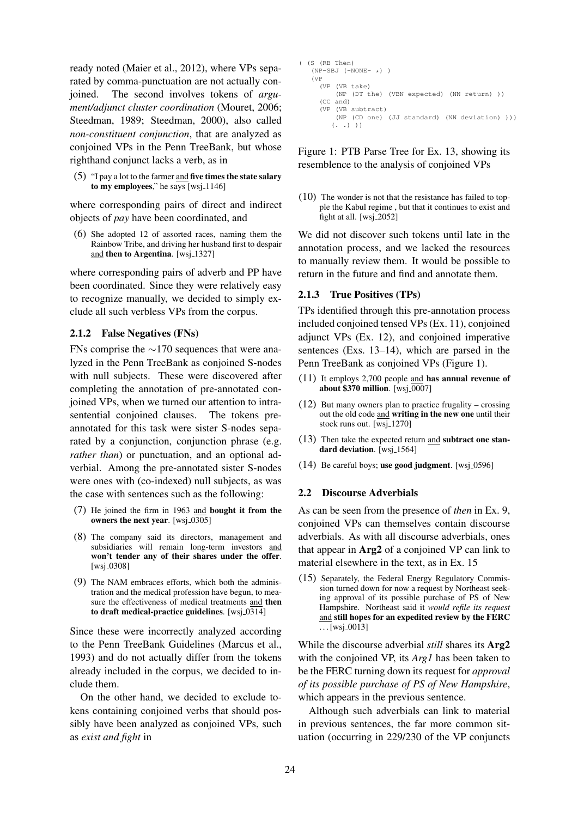ready noted (Maier et al., 2012), where VPs separated by comma-punctuation are not actually conjoined. The second involves tokens of *argument/adjunct cluster coordination* (Mouret, 2006; Steedman, 1989; Steedman, 2000), also called *non-constituent conjunction*, that are analyzed as conjoined VPs in the Penn TreeBank, but whose righthand conjunct lacks a verb, as in

 $(5)$  "I pay a lot to the farmer and five times the state salary to my employees," he says [wsj.1146]

where corresponding pairs of direct and indirect objects of *pay* have been coordinated, and

(6) She adopted 12 of assorted races, naming them the Rainbow Tribe, and driving her husband first to despair and then to Argentina. [wsj.1327]

where corresponding pairs of adverb and PP have been coordinated. Since they were relatively easy to recognize manually, we decided to simply exclude all such verbless VPs from the corpus.

### 2.1.2 False Negatives (FNs)

FNs comprise the ∼170 sequences that were analyzed in the Penn TreeBank as conjoined S-nodes with null subjects. These were discovered after completing the annotation of pre-annotated conjoined VPs, when we turned our attention to intrasentential conjoined clauses. The tokens preannotated for this task were sister S-nodes separated by a conjunction, conjunction phrase (e.g. *rather than*) or punctuation, and an optional adverbial. Among the pre-annotated sister S-nodes were ones with (co-indexed) null subjects, as was the case with sentences such as the following:

- (7) He joined the firm in 1963 and bought it from the owners the next year. [wsj\_0305]
- (8) The company said its directors, management and subsidiaries will remain long-term investors and won't tender any of their shares under the offer. [wsj\_0308]
- (9) The NAM embraces efforts, which both the administration and the medical profession have begun, to measure the effectiveness of medical treatments and then to draft medical-practice guidelines. [wsj\_0314]

Since these were incorrectly analyzed according to the Penn TreeBank Guidelines (Marcus et al., 1993) and do not actually differ from the tokens already included in the corpus, we decided to include them.

On the other hand, we decided to exclude tokens containing conjoined verbs that should possibly have been analyzed as conjoined VPs, such as *exist and fight* in

```
( (S (RB Then)
(NP-SBJ (-NONE-*))
(VP
  (VP (VB take)
      (NP (DT the) (VBN expected) (NN return) ))
  (CC and)
  (VP (VB subtract)
      (NP (CD one) (JJ standard) (NN deviation) )))
     (. . . ) )
```
Figure 1: PTB Parse Tree for Ex. 13, showing its resemblence to the analysis of conjoined VPs

(10) The wonder is not that the resistance has failed to topple the Kabul regime , but that it continues to exist and fight at all. [wsj 2052]

We did not discover such tokens until late in the annotation process, and we lacked the resources to manually review them. It would be possible to return in the future and find and annotate them.

### 2.1.3 True Positives (TPs)

TPs identified through this pre-annotation process included conjoined tensed VPs (Ex. 11), conjoined adjunct VPs (Ex. 12), and conjoined imperative sentences (Exs. 13–14), which are parsed in the Penn TreeBank as conjoined VPs (Figure 1).

- (11) It employs 2,700 people and has annual revenue of about  $$370$  million. [wsj $\sqrt{0.0007}$ ]
- (12) But many owners plan to practice frugality crossing out the old code and writing in the new one until their stock runs out. [wsj\_1270]
- (13) Then take the expected return and subtract one standard deviation. [wsj<sub>-1564]</sub>
- $(14)$  Be careful boys; use good judgment. [wsj.0596]

#### 2.2 Discourse Adverbials

As can be seen from the presence of *then* in Ex. 9, conjoined VPs can themselves contain discourse adverbials. As with all discourse adverbials, ones that appear in Arg2 of a conjoined VP can link to material elsewhere in the text, as in Ex. 15

(15) Separately, the Federal Energy Regulatory Commission turned down for now a request by Northeast seeking approval of its possible purchase of PS of New Hampshire. Northeast said it *would refile its request* and still hopes for an expedited review by the FERC  $\ldots$ [wsj\_0013]

While the discourse adverbial *still* shares its Arg2 with the conjoined VP, its *Arg1* has been taken to be the FERC turning down its request for *approval of its possible purchase of PS of New Hampshire*, which appears in the previous sentence.

Although such adverbials can link to material in previous sentences, the far more common situation (occurring in 229/230 of the VP conjuncts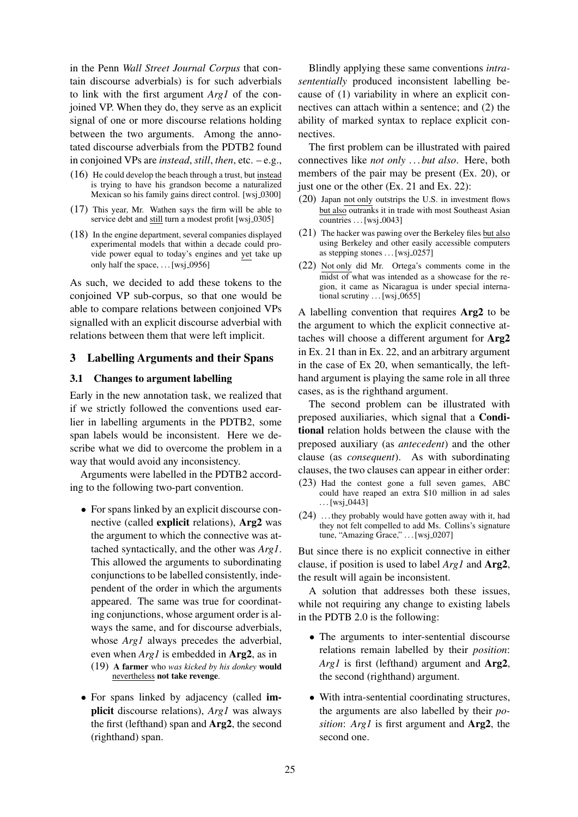in the Penn *Wall Street Journal Corpus* that contain discourse adverbials) is for such adverbials to link with the first argument *Arg1* of the conjoined VP. When they do, they serve as an explicit signal of one or more discourse relations holding between the two arguments. Among the annotated discourse adverbials from the PDTB2 found in conjoined VPs are *instead*, *still*, *then*, etc. – e.g.,

- (16) He could develop the beach through a trust, but instead is trying to have his grandson become a naturalized Mexican so his family gains direct control. [wsj\_0300]
- (17) This year, Mr. Wathen says the firm will be able to service debt and still turn a modest profit [wsj\_0305]
- (18) In the engine department, several companies displayed experimental models that within a decade could provide power equal to today's engines and yet take up only half the space,  $\dots$  [wsj\_0956]

As such, we decided to add these tokens to the conjoined VP sub-corpus, so that one would be able to compare relations between conjoined VPs signalled with an explicit discourse adverbial with relations between them that were left implicit.

## 3 Labelling Arguments and their Spans

### 3.1 Changes to argument labelling

Early in the new annotation task, we realized that if we strictly followed the conventions used earlier in labelling arguments in the PDTB2, some span labels would be inconsistent. Here we describe what we did to overcome the problem in a way that would avoid any inconsistency.

Arguments were labelled in the PDTB2 according to the following two-part convention.

• For spans linked by an explicit discourse connective (called explicit relations), Arg2 was the argument to which the connective was attached syntactically, and the other was *Arg1*. This allowed the arguments to subordinating conjunctions to be labelled consistently, independent of the order in which the arguments appeared. The same was true for coordinating conjunctions, whose argument order is always the same, and for discourse adverbials, whose *Arg1* always precedes the adverbial, even when *Arg1* is embedded in Arg2, as in (19) A farmer who *was kicked by his donkey* would

# nevertheless not take revenge.

• For spans linked by adjacency (called implicit discourse relations), *Arg1* was always the first (lefthand) span and Arg2, the second (righthand) span.

Blindly applying these same conventions *intrasententially* produced inconsistent labelling because of (1) variability in where an explicit connectives can attach within a sentence; and (2) the ability of marked syntax to replace explicit connectives.

The first problem can be illustrated with paired connectives like *not only* . . . *but also*. Here, both members of the pair may be present (Ex. 20), or just one or the other (Ex. 21 and Ex. 22):

- (20) Japan not only outstrips the U.S. in investment flows but also outranks it in trade with most Southeast Asian  $countries$  . . [wsj\_0043]
- (21) The hacker was pawing over the Berkeley files but also using Berkeley and other easily accessible computers as stepping stones  $\dots$  [wsj\_0257]
- (22) Not only did Mr. Ortega's comments come in the midst of what was intended as a showcase for the region, it came as Nicaragua is under special international scrutiny  $\dots$  [wsj $-0655$ ]

A labelling convention that requires Arg2 to be the argument to which the explicit connective attaches will choose a different argument for Arg2 in Ex. 21 than in Ex. 22, and an arbitrary argument in the case of Ex 20, when semantically, the lefthand argument is playing the same role in all three cases, as is the righthand argument.

The second problem can be illustrated with preposed auxiliaries, which signal that a Conditional relation holds between the clause with the preposed auxiliary (as *antecedent*) and the other clause (as *consequent*). As with subordinating clauses, the two clauses can appear in either order:

- (23) Had the contest gone a full seven games, ABC could have reaped an extra \$10 million in ad sales  $\dots$ [wsj\_0443]
- (24) . . . they probably would have gotten away with it, had they not felt compelled to add Ms. Collins's signature tune, "Amazing Grace," . . . [wsj\_0207]

But since there is no explicit connective in either clause, if position is used to label *Arg1* and Arg2, the result will again be inconsistent.

A solution that addresses both these issues, while not requiring any change to existing labels in the PDTB 2.0 is the following:

- The arguments to inter-sentential discourse relations remain labelled by their *position*: *Arg1* is first (lefthand) argument and Arg2, the second (righthand) argument.
- With intra-sentential coordinating structures, the arguments are also labelled by their *position*: *Arg1* is first argument and Arg2, the second one.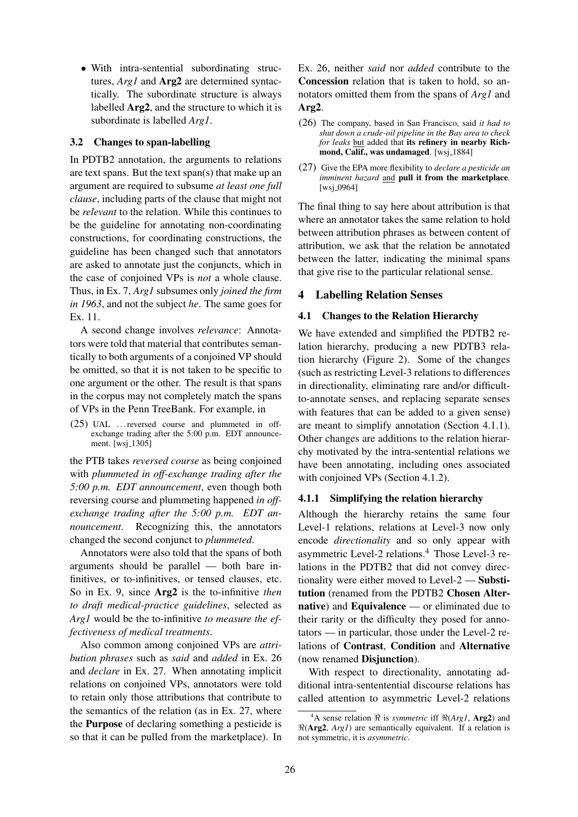• With intra-sentential subordinating structures, *Arg1* and Arg2 are determined syntactically. The subordinate structure is always labelled Arg2, and the structure to which it is subordinate is labelled *Arg1*.

## 3.2 Changes to span-labelling

In PDTB2 annotation, the arguments to relations are text spans. But the text span(s) that make up an argument are required to subsume *at least one full clause*, including parts of the clause that might not be *relevant* to the relation. While this continues to be the guideline for annotating non-coordinating constructions, for coordinating constructions, the guideline has been changed such that annotators are asked to annotate just the conjuncts, which in the case of conjoined VPs is *not* a whole clause. Thus, in Ex. 7, *Arg1* subsumes only *joined the firm in 1963*, and not the subject *he*. The same goes for Ex. 11.

A second change involves *relevance*: Annotators were told that material that contributes semantically to both arguments of a conjoined VP should be omitted, so that it is not taken to be specific to one argument or the other. The result is that spans in the corpus may not completely match the spans of VPs in the Penn TreeBank. For example, in

(25) UAL . . . reversed course and plummeted in offexchange trading after the 5:00 p.m. EDT announcement. [wsj<sub>-1305]</sub>

the PTB takes *reversed course* as being conjoined with *plummeted in off-exchange trading after the 5:00 p.m. EDT announcement*, even though both reversing course and plummeting happened *in offexchange trading after the 5:00 p.m. EDT announcement*. Recognizing this, the annotators changed the second conjunct to *plummeted*.

Annotators were also told that the spans of both arguments should be parallel — both bare infinitives, or to-infinitives, or tensed clauses, etc. So in Ex. 9, since Arg2 is the to-infinitive *then to draft medical-practice guidelines*, selected as *Arg1* would be the to-infinitive *to measure the effectiveness of medical treatments*.

Also common among conjoined VPs are *attribution phrases* such as *said* and *added* in Ex. 26 and *declare* in Ex. 27. When annotating implicit relations on conjoined VPs, annotators were told to retain only those attributions that contribute to the semantics of the relation (as in Ex. 27, where the Purpose of declaring something a pesticide is so that it can be pulled from the marketplace). In

Ex. 26, neither *said* nor *added* contribute to the Concession relation that is taken to hold, so annotators omitted them from the spans of *Arg1* and Arg2.

- (26) The company, based in San Francisco, said *it had to shut down a crude-oil pipeline in the Bay area to check for leaks* but added that its refinery in nearby Richmond, Calif., was undamaged. [wsj\_1884]
- (27) Give the EPA more flexibility to *declare a pesticide an imminent hazard* and pull it from the marketplace.  $[wsj_0.0964]$

The final thing to say here about attribution is that where an annotator takes the same relation to hold between attribution phrases as between content of attribution, we ask that the relation be annotated between the latter, indicating the minimal spans that give rise to the particular relational sense.

## 4 Labelling Relation Senses

#### 4.1 Changes to the Relation Hierarchy

We have extended and simplified the PDTB2 relation hierarchy, producing a new PDTB3 relation hierarchy (Figure 2). Some of the changes (such as restricting Level-3 relations to differences in directionality, eliminating rare and/or difficultto-annotate senses, and replacing separate senses with features that can be added to a given sense) are meant to simplify annotation (Section 4.1.1). Other changes are additions to the relation hierarchy motivated by the intra-sentential relations we have been annotating, including ones associated with conjoined VPs (Section 4.1.2).

### 4.1.1 Simplifying the relation hierarchy

Although the hierarchy retains the same four Level-1 relations, relations at Level-3 now only encode *directionality* and so only appear with asymmetric Level-2 relations.<sup>4</sup> Those Level-3 relations in the PDTB2 that did not convey directionality were either moved to Level-2 — Substitution (renamed from the PDTB2 Chosen Alternative) and Equivalence — or eliminated due to their rarity or the difficulty they posed for annotators — in particular, those under the Level-2 relations of Contrast, Condition and Alternative (now renamed Disjunction).

With respect to directionality, annotating additional intra-sententential discourse relations has called attention to asymmetric Level-2 relations

<sup>&</sup>lt;sup>4</sup>A sense relation  $\Re$  is *symmetric* iff  $\Re(Argl, \text{Arg2})$  and  $\Re$ (Arg2, *Arg1*) are semantically equivalent. If a relation is not symmetric, it is *asymmetric*.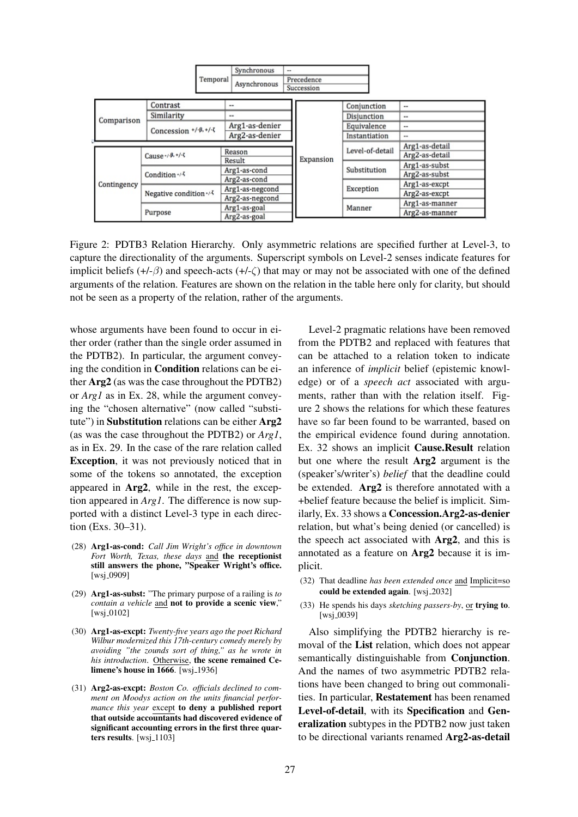|             |                                 |          | Synchronous                        | -- |                          |                 |               |                |
|-------------|---------------------------------|----------|------------------------------------|----|--------------------------|-----------------|---------------|----------------|
|             |                                 | Temporal | Asynchronous                       |    | Precedence<br>Succession |                 |               |                |
|             | Contrast                        |          | --                                 |    |                          | Conjunction     |               | $\cdots$       |
|             | Similarity                      |          |                                    |    |                          | Disjunction     |               | $\cdots$       |
| Comparison  | Concession $+/-\beta, +/-\zeta$ |          | Arg1-as-denier                     |    |                          | Equivalence     |               | --             |
|             |                                 |          | Arg2-as-denier                     |    |                          | Instantiation   |               | $\cdots$       |
|             |                                 |          |                                    |    |                          |                 |               | Arg1-as-detail |
|             | Cause $+/ \beta$ , $+/ \zeta$   |          | Reason<br>Result                   |    | Expansion                | Level-of-detail |               | Arg2-as-detail |
|             |                                 |          | Arg1-as-cond                       |    |                          | Substitution    | Arg1-as-subst |                |
| Contingency | Condition $\cdot$ / $\cdot$     |          | Arg2-as-cond                       |    |                          |                 |               | Arg2-as-subst  |
|             |                                 |          |                                    |    |                          | Exception       | Arg1-as-excpt |                |
|             | Negative condition +/-          |          | Arg1-as-negcond<br>Arg2-as-negcond |    |                          |                 |               | Arg2-as-excpt  |
|             |                                 |          |                                    |    |                          |                 |               | Arg1-as-manner |
|             | Purpose                         |          | Arg1-as-goal<br>Arg2-as-goal       |    |                          | Manner          |               | Arg2-as-manner |

Figure 2: PDTB3 Relation Hierarchy. Only asymmetric relations are specified further at Level-3, to capture the directionality of the arguments. Superscript symbols on Level-2 senses indicate features for implicit beliefs  $(+/-\beta)$  and speech-acts  $(+/-\zeta)$  that may or may not be associated with one of the defined arguments of the relation. Features are shown on the relation in the table here only for clarity, but should not be seen as a property of the relation, rather of the arguments.

whose arguments have been found to occur in either order (rather than the single order assumed in the PDTB2). In particular, the argument conveying the condition in Condition relations can be either Arg2 (as was the case throughout the PDTB2) or *Arg1* as in Ex. 28, while the argument conveying the "chosen alternative" (now called "substitute") in Substitution relations can be either Arg2 (as was the case throughout the PDTB2) or *Arg1*, as in Ex. 29. In the case of the rare relation called Exception, it was not previously noticed that in some of the tokens so annotated, the exception appeared in Arg2, while in the rest, the exception appeared in *Arg1*. The difference is now supported with a distinct Level-3 type in each direction (Exs. 30–31).

- (28) Arg1-as-cond: *Call Jim Wright's office in downtown Fort Worth, Texas, these days* and the receptionist still answers the phone, "Speaker Wright's office. [wsj<sub>-0909]</sub>
- (29) Arg1-as-subst: "The primary purpose of a railing is *to contain a vehicle* and not to provide a scenic view,"  $[wsi_00102]$
- (30) Arg1-as-excpt: *Twenty-five years ago the poet Richard Wilbur modernized this 17th-century comedy merely by avoiding "the zounds sort of thing," as he wrote in his introduction*. Otherwise, the scene remained Celimene's house in 1666. [wsj<sub>-1936]</sub>
- (31) Arg2-as-excpt: *Boston Co. officials declined to comment on Moodys action on the units financial performance this year* except to deny a published report that outside accountants had discovered evidence of significant accounting errors in the first three quarters results.  $[wsj_1103]$

Level-2 pragmatic relations have been removed from the PDTB2 and replaced with features that can be attached to a relation token to indicate an inference of *implicit* belief (epistemic knowledge) or of a *speech act* associated with arguments, rather than with the relation itself. Figure 2 shows the relations for which these features have so far been found to be warranted, based on the empirical evidence found during annotation. Ex. 32 shows an implicit Cause.Result relation but one where the result Arg2 argument is the (speaker's/writer's) *belief* that the deadline could be extended. Arg2 is therefore annotated with a +belief feature because the belief is implicit. Similarly, Ex. 33 shows a Concession.Arg2-as-denier relation, but what's being denied (or cancelled) is the speech act associated with Arg2, and this is annotated as a feature on Arg2 because it is implicit.

- (32) That deadline *has been extended once* and Implicit=so could be extended again. [wsj.2032]
- (33) He spends his days *sketching passers-by*, or trying to.  $[wsj_0039]$

Also simplifying the PDTB2 hierarchy is removal of the List relation, which does not appear semantically distinguishable from Conjunction. And the names of two asymmetric PDTB2 relations have been changed to bring out commonalities. In particular, Restatement has been renamed Level-of-detail, with its Specification and Generalization subtypes in the PDTB2 now just taken to be directional variants renamed Arg2-as-detail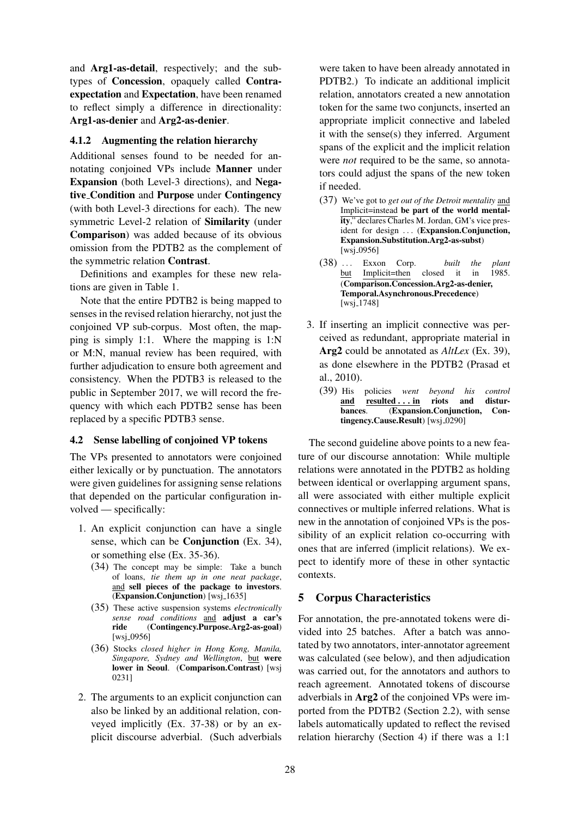and Arg1-as-detail, respectively; and the subtypes of Concession, opaquely called Contraexpectation and Expectation, have been renamed to reflect simply a difference in directionality: Arg1-as-denier and Arg2-as-denier.

## 4.1.2 Augmenting the relation hierarchy

Additional senses found to be needed for annotating conjoined VPs include Manner under Expansion (both Level-3 directions), and Negative Condition and Purpose under Contingency (with both Level-3 directions for each). The new symmetric Level-2 relation of Similarity (under Comparison) was added because of its obvious omission from the PDTB2 as the complement of the symmetric relation Contrast.

Definitions and examples for these new relations are given in Table 1.

Note that the entire PDTB2 is being mapped to senses in the revised relation hierarchy, not just the conjoined VP sub-corpus. Most often, the mapping is simply 1:1. Where the mapping is 1:N or M:N, manual review has been required, with further adjudication to ensure both agreement and consistency. When the PDTB3 is released to the public in September 2017, we will record the frequency with which each PDTB2 sense has been replaced by a specific PDTB3 sense.

## 4.2 Sense labelling of conjoined VP tokens

The VPs presented to annotators were conjoined either lexically or by punctuation. The annotators were given guidelines for assigning sense relations that depended on the particular configuration involved — specifically:

- 1. An explicit conjunction can have a single sense, which can be **Conjunction** (Ex. 34), or something else (Ex. 35-36).
	- (34) The concept may be simple: Take a bunch of loans, *tie them up in one neat package*, and sell pieces of the package to investors. (Expansion.Conjunction) [wsj.1635]
	- (35) These active suspension systems *electronically sense road conditions* and adjust a car's ride (Contingency.Purpose.Arg2-as-goal) [wsj<sub>-0956]</sub>
	- (36) Stocks *closed higher in Hong Kong, Manila, Singapore, Sydney and Wellington*, but were lower in Seoul. (Comparison.Contrast) [wsj 0231]
- 2. The arguments to an explicit conjunction can also be linked by an additional relation, conveyed implicitly (Ex. 37-38) or by an explicit discourse adverbial. (Such adverbials

were taken to have been already annotated in PDTB2.) To indicate an additional implicit relation, annotators created a new annotation token for the same two conjuncts, inserted an appropriate implicit connective and labeled it with the sense(s) they inferred. Argument spans of the explicit and the implicit relation were *not* required to be the same, so annotators could adjust the spans of the new token if needed.

- (37) We've got to *get out of the Detroit mentality* and Implicit=instead be part of the world mentality," declares Charles M. Jordan, GM's vice president for design ... (Expansion.Conjunction, Expansion.Substitution.Arg2-as-subst) [wsj\_0956]
- (38) ... Exxon Corp. *built the plant*<br>but Implicit=then closed it in 1985.  $Implicit = then$ (Comparison.Concession.Arg2-as-denier, Temporal.Asynchronous.Precedence)  $[wsj_1 748]$
- 3. If inserting an implicit connective was perceived as redundant, appropriate material in Arg2 could be annotated as *AltLex* (Ex. 39), as done elsewhere in the PDTB2 (Prasad et al., 2010).
	- (39) His policies *went beyond his control*  $resulted \ldots in$ bances. (Expansion.Conjunction, Contingency.Cause.Result) [wsj\_0290]

The second guideline above points to a new feature of our discourse annotation: While multiple relations were annotated in the PDTB2 as holding between identical or overlapping argument spans, all were associated with either multiple explicit connectives or multiple inferred relations. What is new in the annotation of conjoined VPs is the possibility of an explicit relation co-occurring with ones that are inferred (implicit relations). We expect to identify more of these in other syntactic contexts.

## 5 Corpus Characteristics

For annotation, the pre-annotated tokens were divided into 25 batches. After a batch was annotated by two annotators, inter-annotator agreement was calculated (see below), and then adjudication was carried out, for the annotators and authors to reach agreement. Annotated tokens of discourse adverbials in Arg2 of the conjoined VPs were imported from the PDTB2 (Section 2.2), with sense labels automatically updated to reflect the revised relation hierarchy (Section 4) if there was a 1:1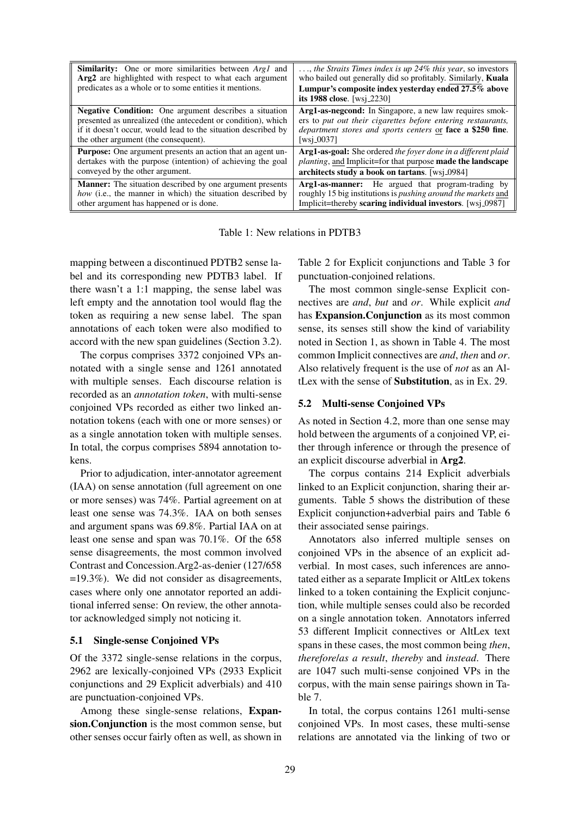| <b>Similarity:</b> One or more similarities between <i>Argl</i> and<br>Arg2 are highlighted with respect to what each argument<br>predicates as a whole or to some entities it mentions. | $\ldots$ , the Straits Times index is up 24% this year, so investors<br>who bailed out generally did so profitably. Similarly, <b>Kuala</b><br>Lumpur's composite index yesterday ended 27.5% above<br>its 1988 close. $[ws]$ 2230] |
|------------------------------------------------------------------------------------------------------------------------------------------------------------------------------------------|-------------------------------------------------------------------------------------------------------------------------------------------------------------------------------------------------------------------------------------|
| <b>Negative Condition:</b> One argument describes a situation                                                                                                                            | Arg1-as-negcond: In Singapore, a new law requires smok-                                                                                                                                                                             |
| presented as unrealized (the antecedent or condition), which                                                                                                                             | ers to put out their cigarettes before entering restaurants,                                                                                                                                                                        |
| if it doesn't occur, would lead to the situation described by                                                                                                                            | department stores and sports centers or face a \$250 fine.                                                                                                                                                                          |
| the other argument (the consequent).                                                                                                                                                     | [wsj_0037]                                                                                                                                                                                                                          |
| <b>Purpose:</b> One argument presents an action that an agent un-                                                                                                                        | Arg1-as-goal: She ordered the foyer done in a different plaid                                                                                                                                                                       |
| dertakes with the purpose (intention) of achieving the goal                                                                                                                              | planting, and Implicit=for that purpose made the landscape                                                                                                                                                                          |
| conveyed by the other argument.                                                                                                                                                          | architects study a book on tartans. [wsj_0984]                                                                                                                                                                                      |
| <b>Manner:</b> The situation described by one argument presents                                                                                                                          | <b>Arg1-as-manner:</b> He argued that program-trading by                                                                                                                                                                            |
| how (i.e., the manner in which) the situation described by                                                                                                                               | roughly 15 big institutions is <i>pushing around the markets</i> and                                                                                                                                                                |
| other argument has happened or is done.                                                                                                                                                  | Implicit=thereby scaring individual investors. [wsj_0987]                                                                                                                                                                           |

Table 1: New relations in PDTB3

mapping between a discontinued PDTB2 sense label and its corresponding new PDTB3 label. If there wasn't a 1:1 mapping, the sense label was left empty and the annotation tool would flag the token as requiring a new sense label. The span annotations of each token were also modified to accord with the new span guidelines (Section 3.2).

The corpus comprises 3372 conjoined VPs annotated with a single sense and 1261 annotated with multiple senses. Each discourse relation is recorded as an *annotation token*, with multi-sense conjoined VPs recorded as either two linked annotation tokens (each with one or more senses) or as a single annotation token with multiple senses. In total, the corpus comprises 5894 annotation tokens.

Prior to adjudication, inter-annotator agreement (IAA) on sense annotation (full agreement on one or more senses) was 74%. Partial agreement on at least one sense was 74.3%. IAA on both senses and argument spans was 69.8%. Partial IAA on at least one sense and span was 70.1%. Of the 658 sense disagreements, the most common involved Contrast and Concession.Arg2-as-denier (127/658 =19.3%). We did not consider as disagreements, cases where only one annotator reported an additional inferred sense: On review, the other annotator acknowledged simply not noticing it.

### 5.1 Single-sense Conjoined VPs

Of the 3372 single-sense relations in the corpus, 2962 are lexically-conjoined VPs (2933 Explicit conjunctions and 29 Explicit adverbials) and 410 are punctuation-conjoined VPs.

Among these single-sense relations, Expansion.Conjunction is the most common sense, but other senses occur fairly often as well, as shown in

Table 2 for Explicit conjunctions and Table 3 for punctuation-conjoined relations.

The most common single-sense Explicit connectives are *and*, *but* and *or*. While explicit *and* has Expansion.Conjunction as its most common sense, its senses still show the kind of variability noted in Section 1, as shown in Table 4. The most common Implicit connectives are *and*, *then* and *or*. Also relatively frequent is the use of *not* as an AltLex with the sense of Substitution, as in Ex. 29.

## 5.2 Multi-sense Conjoined VPs

As noted in Section 4.2, more than one sense may hold between the arguments of a conjoined VP, either through inference or through the presence of an explicit discourse adverbial in Arg2.

The corpus contains 214 Explicit adverbials linked to an Explicit conjunction, sharing their arguments. Table 5 shows the distribution of these Explicit conjunction+adverbial pairs and Table 6 their associated sense pairings.

Annotators also inferred multiple senses on conjoined VPs in the absence of an explicit adverbial. In most cases, such inferences are annotated either as a separate Implicit or AltLex tokens linked to a token containing the Explicit conjunction, while multiple senses could also be recorded on a single annotation token. Annotators inferred 53 different Implicit connectives or AltLex text spans in these cases, the most common being *then*, *therefore*/*as a result*, *thereby* and *instead*. There are 1047 such multi-sense conjoined VPs in the corpus, with the main sense pairings shown in Table 7.

In total, the corpus contains 1261 multi-sense conjoined VPs. In most cases, these multi-sense relations are annotated via the linking of two or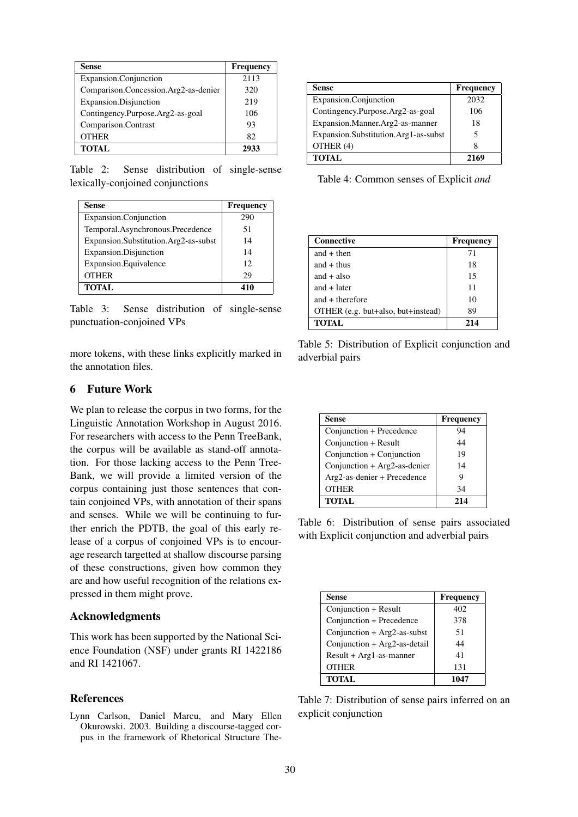| Sense                                | <b>Frequency</b> |
|--------------------------------------|------------------|
| Expansion.Conjunction                | 2113             |
| Comparison.Concession.Arg2-as-denier | 320              |
| Expansion.Disjunction                | 219              |
| Contingency.Purpose.Arg2-as-goal     | 106              |
| Comparison.Contrast                  | 93               |
| <b>OTHER</b>                         | 82               |
| <b>TOTAL</b>                         |                  |

Table 2: Sense distribution of single-sense lexically-conjoined conjunctions

| Sense                                | Frequency |
|--------------------------------------|-----------|
| Expansion.Conjunction                | 290       |
| Temporal.Asynchronous.Precedence     | 51        |
| Expansion.Substitution.Arg2-as-subst | 14        |
| Expansion.Disjunction                | 14        |
| Expansion. Equivalence               | 12        |
| <b>OTHER</b>                         | 29        |
| <b>TOTAL</b>                         | 410       |

Table 3: Sense distribution of single-sense punctuation-conjoined VPs

more tokens, with these links explicitly marked in the annotation files.

## 6 Future Work

We plan to release the corpus in two forms, for the Linguistic Annotation Workshop in August 2016. For researchers with access to the Penn TreeBank, the corpus will be available as stand-off annotation. For those lacking access to the Penn Tree-Bank, we will provide a limited version of the corpus containing just those sentences that contain conjoined VPs, with annotation of their spans and senses. While we will be continuing to further enrich the PDTB, the goal of this early release of a corpus of conjoined VPs is to encourage research targetted at shallow discourse parsing of these constructions, given how common they are and how useful recognition of the relations expressed in them might prove.

#### Acknowledgments

This work has been supported by the National Science Foundation (NSF) under grants RI 1422186 and RI 1421067.

## References

Lynn Carlson, Daniel Marcu, and Mary Ellen Okurowski. 2003. Building a discourse-tagged corpus in the framework of Rhetorical Structure The-

| <b>Sense</b>                         | <b>Frequency</b> |
|--------------------------------------|------------------|
| Expansion.Conjunction                | 2032             |
| Contingency.Purpose.Arg2-as-goal     | 106              |
| Expansion.Manner.Arg2-as-manner      | 18               |
| Expansion.Substitution.Arg1-as-subst |                  |
| OTHER (4)                            |                  |
| <b>TOTAL</b>                         | 2169             |

Table 4: Common senses of Explicit *and*

| <b>Connective</b>                  | <b>Frequency</b> |
|------------------------------------|------------------|
| and $+$ then                       | 71               |
| and $+$ thus                       | 18               |
| and $+$ also                       | 15               |
| and $+$ later                      | 11               |
| and $+$ therefore                  | 10               |
| OTHER (e.g. but+also, but+instead) | 89               |
| <b>TOTAL</b>                       | 214              |

Table 5: Distribution of Explicit conjunction and adverbial pairs

| <b>Sense</b>                 | Frequency |
|------------------------------|-----------|
| Conjunction + Precedence     | 94        |
| Conjunction + Result         | 44        |
| Conjunction + Conjunction    | 19        |
| Conjunction + Arg2-as-denier | 14        |
| Arg2-as-denier + Precedence  |           |
| <b>OTHER</b>                 | 34        |
| <b>TOTAL</b>                 | 214       |

Table 6: Distribution of sense pairs associated with Explicit conjunction and adverbial pairs

| Sense                        | Frequency |
|------------------------------|-----------|
| Conjunction + Result         | 402       |
| Conjunction + Precedence     | 378       |
| Conjunction + Arg2-as-subst  | 51        |
| Conjunction + Arg2-as-detail | 44        |
| $Result + Arg1-as-manner$    | 41        |
| <b>OTHER</b>                 | 131       |
| <b>TOTAL</b>                 | 1047      |

Table 7: Distribution of sense pairs inferred on an explicit conjunction